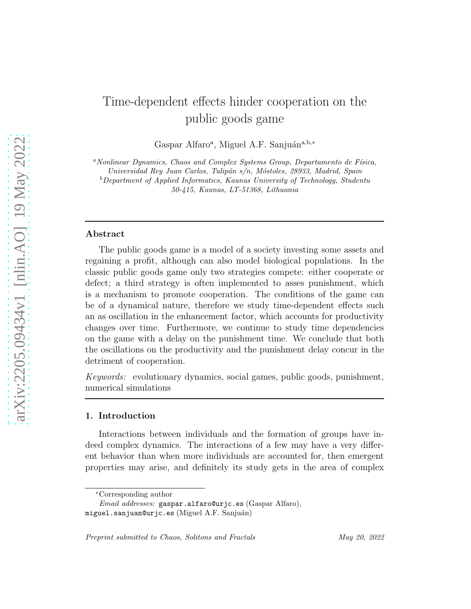# Time-dependent effects hinder cooperation on the public goods game

Gaspar Alfaro<sup>a</sup>, Miguel A.F. Sanjuán<sup>a,b,\*</sup>

 $a<sup>a</sup> Nonlinear Dynamics, Chaos and Complex Systems Group, Departmento de Física,$ 

Universidad Rey Juan Carlos, Tulipán s/n, Móstoles, 28933, Madrid, Spain

 $b$ Department of Applied Informatics, Kaunas University of Technology, Studentu 50-415, Kaunas, LT-51368, Lithuania

#### Abstract

The public goods game is a model of a society investing some assets and regaining a profit, although can also model biological populations. In the classic public goods game only two strategies compete: either cooperate or defect; a third strategy is often implemented to asses punishment, which is a mechanism to promote cooperation. The conditions of the game can be of a dynamical nature, therefore we study time-dependent effects such an as oscillation in the enhancement factor, which accounts for productivity changes over time. Furthermore, we continue to study time dependencies on the game with a delay on the punishment time. We conclude that both the oscillations on the productivity and the punishment delay concur in the detriment of cooperation.

Keywords: evolutionary dynamics, social games, public goods, punishment, numerical simulations

### 1. Introduction

Interactions between individuals and the formation of groups have indeed complex dynamics. The interactions of a few may have a very different behavior than when more individuals are accounted for, then emergent properties may arise, and definitely its study gets in the area of complex

<sup>∗</sup>Corresponding author

Email addresses: gaspar.alfaro@urjc.es (Gaspar Alfaro),

 $miquel.sanjuan@uric.es (Miguel A.F. Sanjuán)$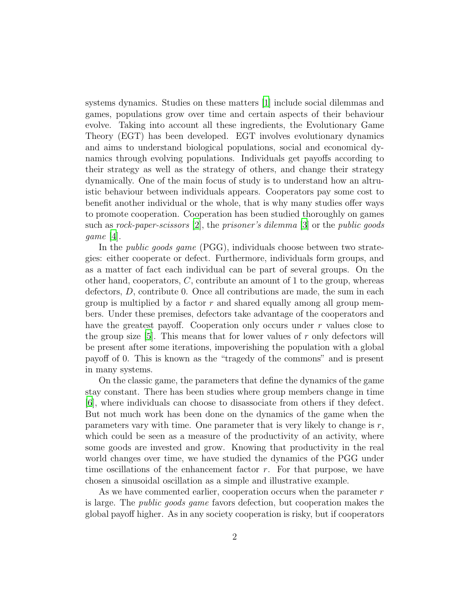systems dynamics. Studies on these matters [\[1](#page-13-0)] include social dilemmas and games, populations grow over time and certain aspects of their behaviour evolve. Taking into account all these ingredients, the Evolutionary Game Theory (EGT) has been developed. EGT involves evolutionary dynamics and aims to understand biological populations, social and economical dynamics through evolving populations. Individuals get payoffs according to their strategy as well as the strategy of others, and change their strategy dynamically. One of the main focus of study is to understand how an altruistic behaviour between individuals appears. Cooperators pay some cost to benefit another individual or the whole, that is why many studies offer ways to promote cooperation. Cooperation has been studied thoroughly on games such as rock-paper-scissors [\[2\]](#page-13-1), the prisoner's dilemma [\[3](#page-13-2)] or the public goods game [\[4](#page-13-3)].

In the *public goods game* (PGG), individuals choose between two strategies: either cooperate or defect. Furthermore, individuals form groups, and as a matter of fact each individual can be part of several groups. On the other hand, cooperators,  $C$ , contribute an amount of 1 to the group, whereas defectors, D, contribute 0. Once all contributions are made, the sum in each group is multiplied by a factor  $r$  and shared equally among all group members. Under these premises, defectors take advantage of the cooperators and have the greatest payoff. Cooperation only occurs under r values close to the group size  $[5]$ . This means that for lower values of r only defectors will be present after some iterations, impoverishing the population with a global payoff of 0. This is known as the "tragedy of the commons" and is present in many systems.

On the classic game, the parameters that define the dynamics of the game stay constant. There has been studies where group members change in time [\[6\]](#page-14-0), where individuals can choose to disassociate from others if they defect. But not much work has been done on the dynamics of the game when the parameters vary with time. One parameter that is very likely to change is  $r$ , which could be seen as a measure of the productivity of an activity, where some goods are invested and grow. Knowing that productivity in the real world changes over time, we have studied the dynamics of the PGG under time oscillations of the enhancement factor  $r$ . For that purpose, we have chosen a sinusoidal oscillation as a simple and illustrative example.

As we have commented earlier, cooperation occurs when the parameter  $r$ is large. The public goods game favors defection, but cooperation makes the global payoff higher. As in any society cooperation is risky, but if cooperators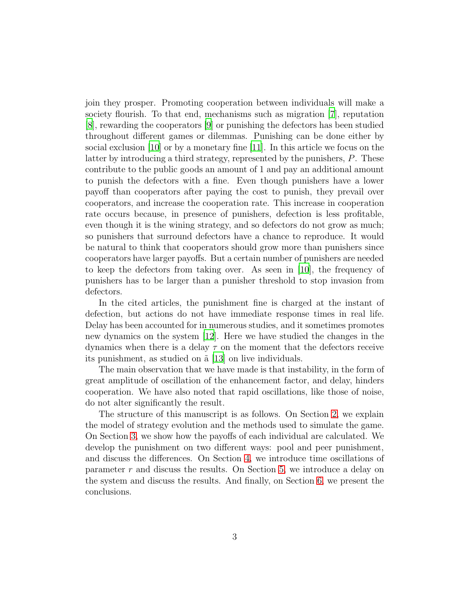join they prosper. Promoting cooperation between individuals will make a society flourish. To that end, mechanisms such as migration [\[7](#page-14-1)], reputation [\[8\]](#page-14-2), rewarding the cooperators [\[9](#page-14-3)] or punishing the defectors has been studied throughout different games or dilemmas. Punishing can be done either by social exclusion [\[10\]](#page-14-4) or by a monetary fine [\[11](#page-14-5)]. In this article we focus on the latter by introducing a third strategy, represented by the punishers, P. These contribute to the public goods an amount of 1 and pay an additional amount to punish the defectors with a fine. Even though punishers have a lower payoff than cooperators after paying the cost to punish, they prevail over cooperators, and increase the cooperation rate. This increase in cooperation rate occurs because, in presence of punishers, defection is less profitable, even though it is the wining strategy, and so defectors do not grow as much; so punishers that surround defectors have a chance to reproduce. It would be natural to think that cooperators should grow more than punishers since cooperators have larger payoffs. But a certain number of punishers are needed to keep the defectors from taking over. As seen in [\[10](#page-14-4)], the frequency of punishers has to be larger than a punisher threshold to stop invasion from defectors.

In the cited articles, the punishment fine is charged at the instant of defection, but actions do not have immediate response times in real life. Delay has been accounted for in numerous studies, and it sometimes promotes new dynamics on the system [\[12](#page-14-6)]. Here we have studied the changes in the dynamics when there is a delay  $\tau$  on the moment that the defectors receive its punishment, as studied on  $\tilde{a}$  [\[13](#page-14-7)] on live individuals.

The main observation that we have made is that instability, in the form of great amplitude of oscillation of the enhancement factor, and delay, hinders cooperation. We have also noted that rapid oscillations, like those of noise, do not alter significantly the result.

The structure of this manuscript is as follows. On Section [2,](#page-3-0) we explain the model of strategy evolution and the methods used to simulate the game. On Section [3,](#page-4-0) we show how the payoffs of each individual are calculated. We develop the punishment on two different ways: pool and peer punishment, and discuss the differences. On Section [4,](#page-6-0) we introduce time oscillations of parameter r and discuss the results. On Section [5,](#page-7-0) we introduce a delay on the system and discuss the results. And finally, on Section [6,](#page-12-0) we present the conclusions.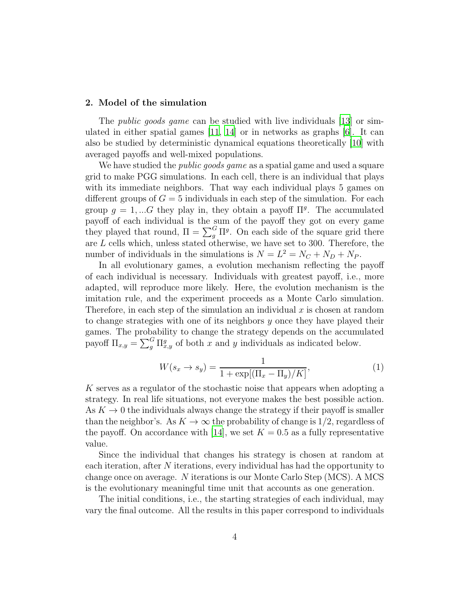#### <span id="page-3-0"></span>2. Model of the simulation

The *public goods game* can be studied with live individuals [\[13](#page-14-7)] or simulated in either spatial games  $[11, 14]$  $[11, 14]$  or in networks as graphs  $[6]$ . It can also be studied by deterministic dynamical equations theoretically [\[10](#page-14-4)] with averaged payoffs and well-mixed populations.

We have studied the *public goods game* as a spatial game and used a square grid to make PGG simulations. In each cell, there is an individual that plays with its immediate neighbors. That way each individual plays 5 games on different groups of  $G = 5$  individuals in each step of the simulation. For each group  $g = 1, \dots G$  they play in, they obtain a payoff  $\Pi<sup>g</sup>$ . The accumulated payoff of each individual is the sum of the payoff they got on every game they played that round,  $\Pi = \sum_{g}^{G} \Pi^{g}$ . On each side of the square grid there are  $L$  cells which, unless stated otherwise, we have set to 300. Therefore, the number of individuals in the simulations is  $N = L^2 = N_C + N_D + N_P$ .

In all evolutionary games, a evolution mechanism reflecting the payoff of each individual is necessary. Individuals with greatest payoff, i.e., more adapted, will reproduce more likely. Here, the evolution mechanism is the imitation rule, and the experiment proceeds as a Monte Carlo simulation. Therefore, in each step of the simulation an individual  $x$  is chosen at random to change strategies with one of its neighbors y once they have played their games. The probability to change the strategy depends on the accumulated payoff  $\Pi_{x,y} = \sum_{g}^{G} \Pi_{x,y}^{g}$  of both x and y individuals as indicated below.

$$
W(s_x \to s_y) = \frac{1}{1 + \exp[(\Pi_x - \Pi_y)/K]},\tag{1}
$$

K serves as a regulator of the stochastic noise that appears when adopting a strategy. In real life situations, not everyone makes the best possible action. As  $K \to 0$  the individuals always change the strategy if their payoff is smaller than the neighbor's. As  $K \to \infty$  the probability of change is 1/2, regardless of the payoff. On accordance with [\[14](#page-14-8)], we set  $K = 0.5$  as a fully representative value.

Since the individual that changes his strategy is chosen at random at each iteration, after N iterations, every individual has had the opportunity to change once on average. N iterations is our Monte Carlo Step (MCS). A MCS is the evolutionary meaningful time unit that accounts as one generation.

The initial conditions, i.e., the starting strategies of each individual, may vary the final outcome. All the results in this paper correspond to individuals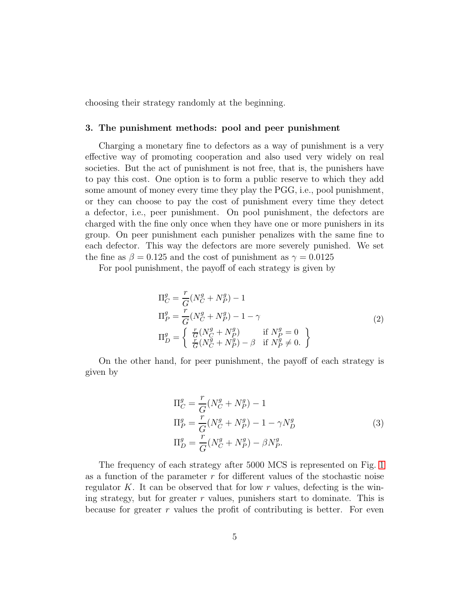<span id="page-4-0"></span>choosing their strategy randomly at the beginning.

#### 3. The punishment methods: pool and peer punishment

Charging a monetary fine to defectors as a way of punishment is a very effective way of promoting cooperation and also used very widely on real societies. But the act of punishment is not free, that is, the punishers have to pay this cost. One option is to form a public reserve to which they add some amount of money every time they play the PGG, i.e., pool punishment, or they can choose to pay the cost of punishment every time they detect a defector, i.e., peer punishment. On pool punishment, the defectors are charged with the fine only once when they have one or more punishers in its group. On peer punishment each punisher penalizes with the same fine to each defector. This way the defectors are more severely punished. We set the fine as  $\beta = 0.125$  and the cost of punishment as  $\gamma = 0.0125$ 

For pool punishment, the payoff of each strategy is given by

$$
\Pi_C^g = \frac{r}{G}(N_C^g + N_P^g) - 1
$$
  
\n
$$
\Pi_P^g = \frac{r}{G}(N_C^g + N_P^g) - 1 - \gamma
$$
  
\n
$$
\Pi_D^g = \begin{cases}\n\frac{r}{G}(N_C^g + N_P^g) & \text{if } N_P^g = 0 \\
\frac{r}{G}(N_C^g + N_P^g) - \beta & \text{if } N_P^g \neq 0.\n\end{cases}
$$
\n(2)

On the other hand, for peer punishment, the payoff of each strategy is given by

$$
\Pi_C^g = \frac{r}{G}(N_C^g + N_P^g) - 1
$$
  
\n
$$
\Pi_P^g = \frac{r}{G}(N_C^g + N_P^g) - 1 - \gamma N_D^g
$$
  
\n
$$
\Pi_D^g = \frac{r}{G}(N_C^g + N_P^g) - \beta N_P^g.
$$
\n(3)

The frequency of each strategy after 5000 MCS is represented on Fig. [1](#page-5-0) as a function of the parameter  $r$  for different values of the stochastic noise regulator K. It can be observed that for low r values, defecting is the wining strategy, but for greater  $r$  values, punishers start to dominate. This is because for greater  $r$  values the profit of contributing is better. For even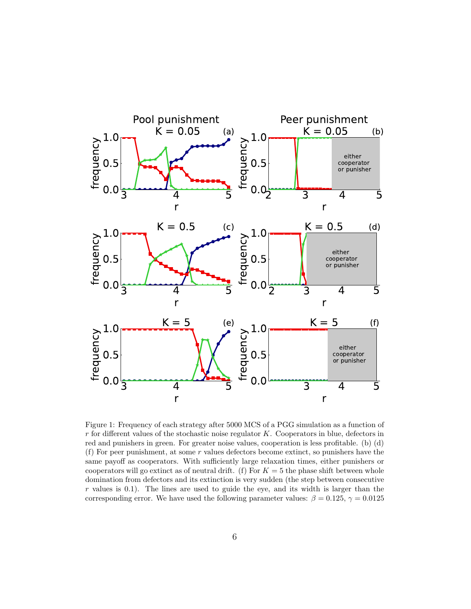

<span id="page-5-0"></span>Figure 1: Frequency of each strategy after 5000 MCS of a PGG simulation as a function of  $r$  for different values of the stochastic noise regulator  $K$ . Cooperators in blue, defectors in red and punishers in green. For greater noise values, cooperation is less profitable. (b) (d) (f) For peer punishment, at some  $r$  values defectors become extinct, so punishers have the same payoff as cooperators. With sufficiently large relaxation times, either punishers or cooperators will go extinct as of neutral drift. (f) For  $K = 5$  the phase shift between whole domination from defectors and its extinction is very sudden (the step between consecutive r values is  $(0.1)$ . The lines are used to guide the eye, and its width is larger than the corresponding error. We have used the following parameter values:  $\beta = 0.125$ ,  $\gamma = 0.0125$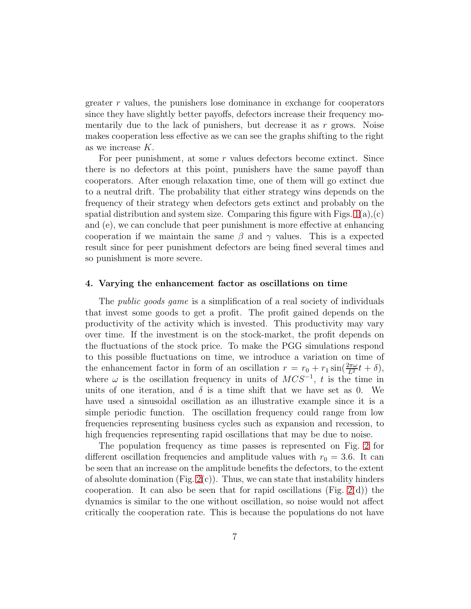greater r values, the punishers lose dominance in exchange for cooperators since they have slightly better payoffs, defectors increase their frequency momentarily due to the lack of punishers, but decrease it as  $r$  grows. Noise makes cooperation less effective as we can see the graphs shifting to the right as we increase K.

For peer punishment, at some r values defectors become extinct. Since there is no defectors at this point, punishers have the same payoff than cooperators. After enough relaxation time, one of them will go extinct due to a neutral drift. The probability that either strategy wins depends on the frequency of their strategy when defectors gets extinct and probably on the spatial distribution and system size. Comparing this figure with Figs.  $1(a)(c)$  $1(a)(c)$ and (e), we can conclude that peer punishment is more effective at enhancing cooperation if we maintain the same  $\beta$  and  $\gamma$  values. This is a expected result since for peer punishment defectors are being fined several times and so punishment is more severe.

#### <span id="page-6-0"></span>4. Varying the enhancement factor as oscillations on time

The *public goods game* is a simplification of a real society of individuals that invest some goods to get a profit. The profit gained depends on the productivity of the activity which is invested. This productivity may vary over time. If the investment is on the stock-market, the profit depends on the fluctuations of the stock price. To make the PGG simulations respond to this possible fluctuations on time, we introduce a variation on time of the enhancement factor in form of an oscillation  $r = r_0 + r_1 \sin(\frac{2\pi\omega}{L^2}t + \delta)$ , where  $\omega$  is the oscillation frequency in units of  $MCS^{-1}$ , t is the time in units of one iteration, and  $\delta$  is a time shift that we have set as 0. We have used a sinusoidal oscillation as an illustrative example since it is a simple periodic function. The oscillation frequency could range from low frequencies representing business cycles such as expansion and recession, to high frequencies representing rapid oscillations that may be due to noise.

The population frequency as time passes is represented on Fig. [2](#page-8-0) for different oscillation frequencies and amplitude values with  $r_0 = 3.6$ . It can be seen that an increase on the amplitude benefits the defectors, to the extent of absolute domination (Fig.  $2(c)$ ). Thus, we can state that instability hinders cooperation. It can also be seen that for rapid oscillations (Fig. [2\(](#page-8-0)d)) the dynamics is similar to the one without oscillation, so noise would not affect critically the cooperation rate. This is because the populations do not have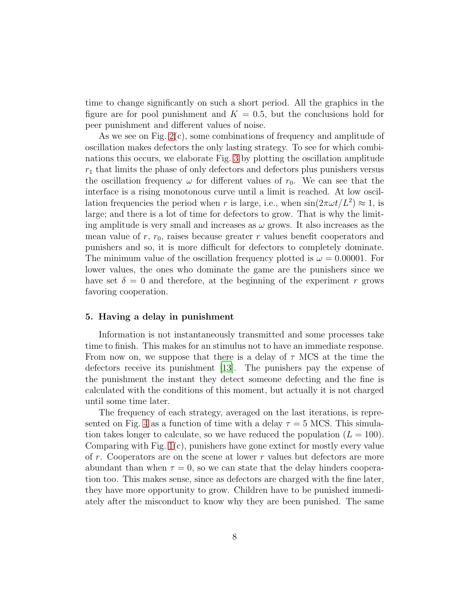time to change significantly on such a short period. All the graphics in the figure are for pool punishment and  $K = 0.5$ , but the conclusions hold for peer punishment and different values of noise.

As we see on Fig. [2\(](#page-8-0)c), some combinations of frequency and amplitude of oscillation makes defectors the only lasting strategy. To see for which combinations this occurs, we elaborate Fig. [3](#page-9-0) by plotting the oscillation amplitude  $r_1$  that limits the phase of only defectors and defectors plus punishers versus the oscillation frequency  $\omega$  for different values of  $r_0$ . We can see that the interface is a rising monotonous curve until a limit is reached. At low oscillation frequencies the period when r is large, i.e., when  $\sin(2\pi\omega t/L^2) \approx 1$ , is large; and there is a lot of time for defectors to grow. That is why the limiting amplitude is very small and increases as  $\omega$  grows. It also increases as the mean value of  $r, r_0$ , raises because greater r values benefit cooperators and punishers and so, it is more difficult for defectors to completely dominate. The minimum value of the oscillation frequency plotted is  $\omega = 0.00001$ . For lower values, the ones who dominate the game are the punishers since we have set  $\delta = 0$  and therefore, at the beginning of the experiment r grows favoring cooperation.

## <span id="page-7-0"></span>5. Having a delay in punishment

Information is not instantaneously transmitted and some processes take time to finish. This makes for an stimulus not to have an immediate response. From now on, we suppose that there is a delay of  $\tau$  MCS at the time the defectors receive its punishment [\[13\]](#page-14-7). The punishers pay the expense of the punishment the instant they detect someone defecting and the fine is calculated with the conditions of this moment, but actually it is not charged until some time later.

The frequency of each strategy, averaged on the last iterations, is repre-sented on Fig. [4](#page-10-0) as a function of time with a delay  $\tau = 5$  MCS. This simulation takes longer to calculate, so we have reduced the population  $(L = 100)$ . Comparing with Fig. [1\(](#page-5-0)c), punishers have gone extinct for mostly every value of  $r$ . Cooperators are on the scene at lower  $r$  values but defectors are more abundant than when  $\tau = 0$ , so we can state that the delay hinders cooperation too. This makes sense, since as defectors are charged with the fine later, they have more opportunity to grow. Children have to be punished immediately after the misconduct to know why they are been punished. The same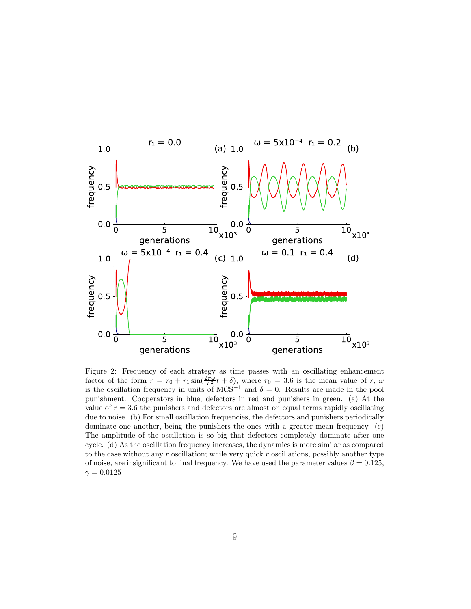

<span id="page-8-0"></span>Figure 2: Frequency of each strategy as time passes with an oscillating enhancement factor of the form  $r = r_0 + r_1 \sin(\frac{2\pi\omega}{L^2}t + \delta)$ , where  $r_0 = 3.6$  is the mean value of r,  $\omega$ is the oscillation frequency in units of MCS<sup>-1</sup> and  $\delta = 0$ . Results are made in the pool punishment. Cooperators in blue, defectors in red and punishers in green. (a) At the value of  $r = 3.6$  the punishers and defectors are almost on equal terms rapidly oscillating due to noise. (b) For small oscillation frequencies, the defectors and punishers periodically dominate one another, being the punishers the ones with a greater mean frequency. (c) The amplitude of the oscillation is so big that defectors completely dominate after one cycle. (d) As the oscillation frequency increases, the dynamics is more similar as compared to the case without any  $r$  oscillation; while very quick  $r$  oscillations, possibly another type of noise, are insignificant to final frequency. We have used the parameter values  $\beta = 0.125$ ,  $\gamma = 0.0125$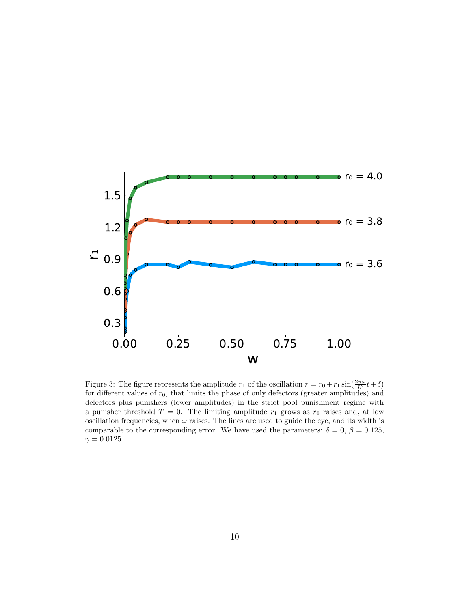

<span id="page-9-0"></span>Figure 3: The figure represents the amplitude  $r_1$  of the oscillation  $r = r_0 + r_1 \sin(\frac{2\pi\omega}{L^2}t + \delta)$ for different values of  $r_0$ , that limits the phase of only defectors (greater amplitudes) and defectors plus punishers (lower amplitudes) in the strict pool punishment regime with a punisher threshold  $T = 0$ . The limiting amplitude  $r_1$  grows as  $r_0$  raises and, at low oscillation frequencies, when  $\omega$  raises. The lines are used to guide the eye, and its width is comparable to the corresponding error. We have used the parameters:  $\delta = 0, \beta = 0.125$ ,  $\gamma=0.0125$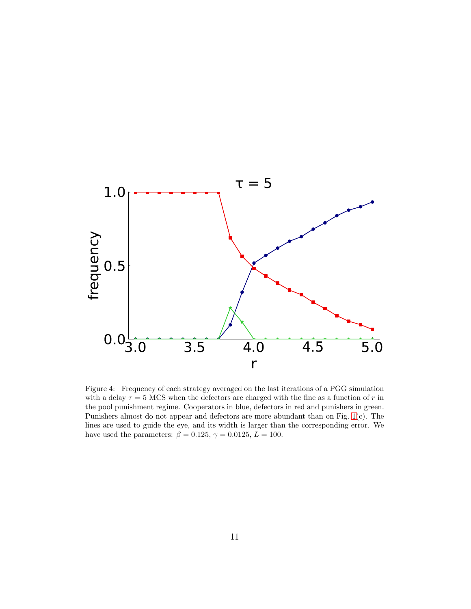

<span id="page-10-0"></span>Figure 4: Frequency of each strategy averaged on the last iterations of a PGG simulation with a delay  $\tau = 5$  MCS when the defectors are charged with the fine as a function of r in the pool punishment regime. Cooperators in blue, defectors in red and punishers in green. Punishers almost do not appear and defectors are more abundant than on Fig. [1\(](#page-5-0)c). The lines are used to guide the eye, and its width is larger than the corresponding error. We have used the parameters:  $\beta = 0.125$ ,  $\gamma = 0.0125$ ,  $L = 100$ .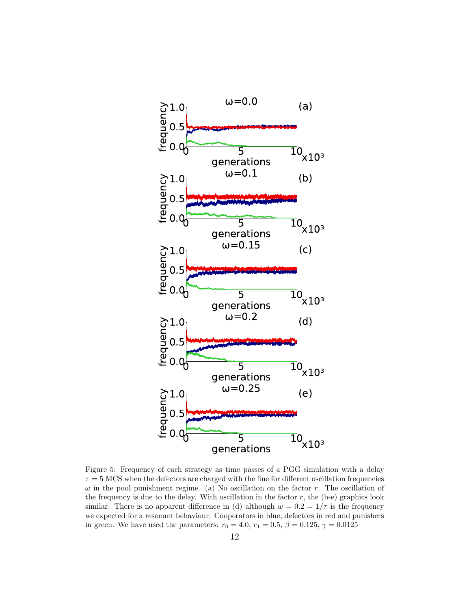

<span id="page-11-0"></span>Figure 5: Frequency of each strategy as time passes of a PGG simulation with a delay  $\tau = 5$  MCS when the defectors are charged with the fine for different oscillation frequencies  $\omega$  in the pool punishment regime. (a) No oscillation on the factor r. The oscillation of the frequency is due to the delay. With oscillation in the factor  $r$ , the (b-e) graphics look similar. There is no apparent difference in (d) although  $w = 0.2 = 1/\tau$  is the frequency we expected for a resonant behaviour. Cooperators in blue, defectors in red and punishers in green. We have used the parameters:  $r_0 = 4.0, r_1 = 0.5, \beta = 0.125, \gamma = 0.0125$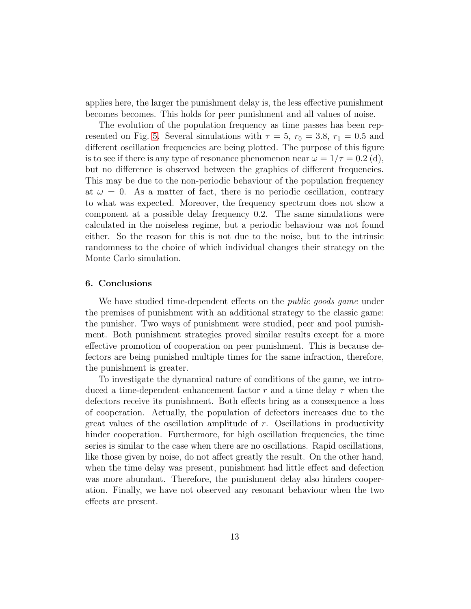applies here, the larger the punishment delay is, the less effective punishment becomes becomes. This holds for peer punishment and all values of noise.

The evolution of the population frequency as time passes has been rep-resented on Fig. [5.](#page-11-0) Several simulations with  $\tau = 5$ ,  $r_0 = 3.8$ ,  $r_1 = 0.5$  and different oscillation frequencies are being plotted. The purpose of this figure is to see if there is any type of resonance phenomenon near  $\omega = 1/\tau = 0.2$  (d), but no difference is observed between the graphics of different frequencies. This may be due to the non-periodic behaviour of the population frequency at  $\omega = 0$ . As a matter of fact, there is no periodic oscillation, contrary to what was expected. Moreover, the frequency spectrum does not show a component at a possible delay frequency 0.2. The same simulations were calculated in the noiseless regime, but a periodic behaviour was not found either. So the reason for this is not due to the noise, but to the intrinsic randomness to the choice of which individual changes their strategy on the Monte Carlo simulation.

## <span id="page-12-0"></span>6. Conclusions

We have studied time-dependent effects on the *public goods game* under the premises of punishment with an additional strategy to the classic game: the punisher. Two ways of punishment were studied, peer and pool punishment. Both punishment strategies proved similar results except for a more effective promotion of cooperation on peer punishment. This is because defectors are being punished multiple times for the same infraction, therefore, the punishment is greater.

To investigate the dynamical nature of conditions of the game, we introduced a time-dependent enhancement factor r and a time delay  $\tau$  when the defectors receive its punishment. Both effects bring as a consequence a loss of cooperation. Actually, the population of defectors increases due to the great values of the oscillation amplitude of r. Oscillations in productivity hinder cooperation. Furthermore, for high oscillation frequencies, the time series is similar to the case when there are no oscillations. Rapid oscillations, like those given by noise, do not affect greatly the result. On the other hand, when the time delay was present, punishment had little effect and defection was more abundant. Therefore, the punishment delay also hinders cooperation. Finally, we have not observed any resonant behaviour when the two effects are present.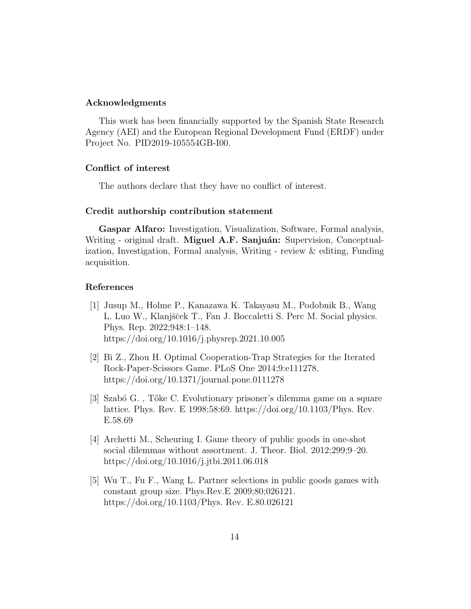#### Acknowledgments

This work has been financially supported by the Spanish State Research Agency (AEI) and the European Regional Development Fund (ERDF) under Project No. PID2019-105554GB-I00.

## Conflict of interest

The authors declare that they have no conflict of interest.

## Credit authorship contribution statement

Gaspar Alfaro: Investigation, Visualization, Software, Formal analysis, Writing - original draft. Miguel A.F. Sanjuán: Supervision, Conceptualization, Investigation, Formal analysis, Writing - review & editing, Funding acquisition.

## References

- <span id="page-13-0"></span>[1] Jusup M., Holme P., Kanazawa K. Takayasu M., Podobnik B., Wang L. Luo W., Klanjšček T., Fan J. Boccaletti S. Perc M. Social physics. Phys. Rep. 2022;948:1–148. https://doi.org/10.1016/j.physrep.2021.10.005
- <span id="page-13-1"></span>[2] Bi Z., Zhou H. Optimal Cooperation-Trap Strategies for the Iterated Rock-Paper-Scissors Game. PLoS One 2014;9:e111278. https://doi.org/10.1371/journal.pone.0111278
- <span id="page-13-2"></span>[3] Szab´o G. , T˝oke C. Evolutionary prisoner's dilemma game on a square lattice. Phys. Rev. E 1998;58:69. https://doi.org/10.1103/Phys. Rev. E.58.69
- <span id="page-13-3"></span>[4] Archetti M., Scheuring I. Game theory of public goods in one-shot social dilemmas without assortment. J. Theor. Biol. 2012;299;9-20. https://doi.org/10.1016/j.jtbi.2011.06.018
- [5] Wu T., Fu F., Wang L. Partner selections in public goods games with constant group size. Phys.Rev.E 2009;80;026121. https://doi.org/10.1103/Phys. Rev. E.80.026121